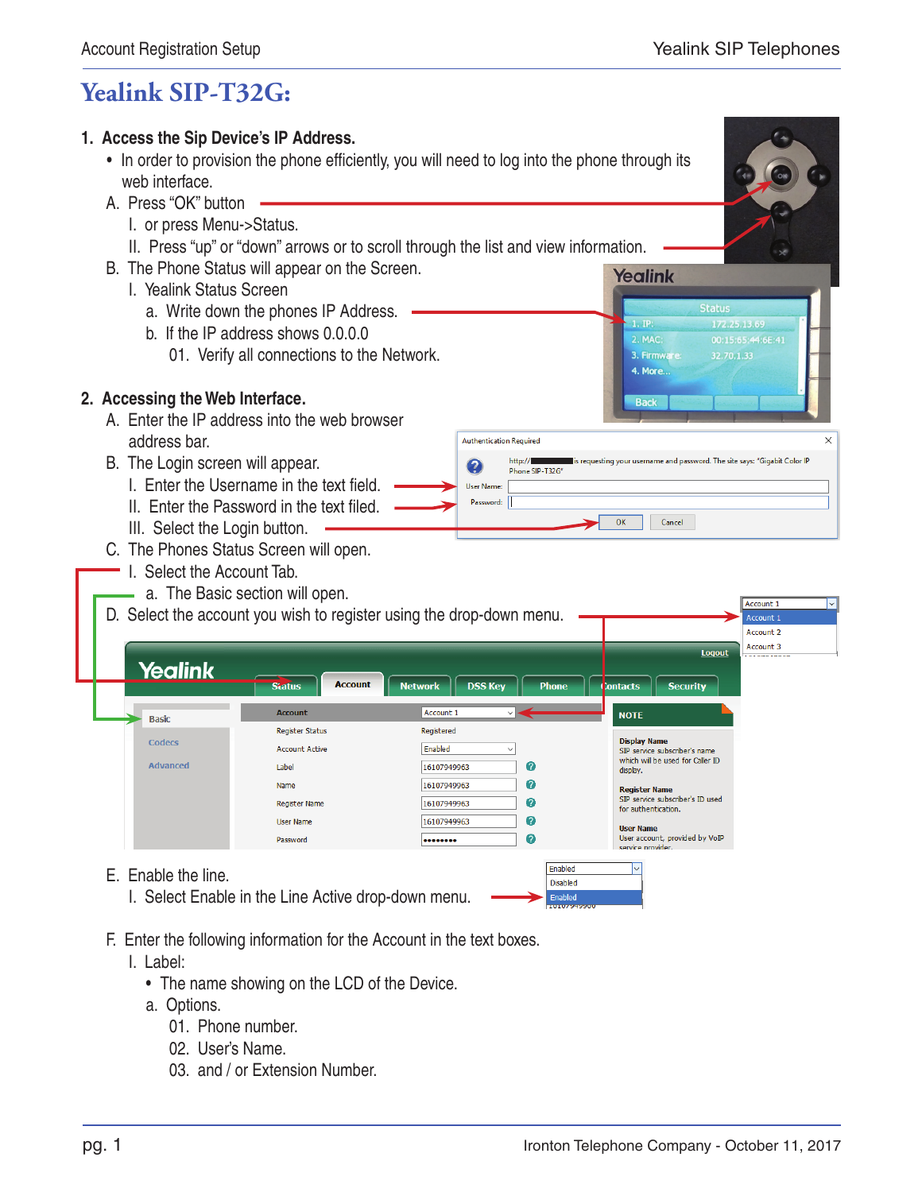## **Yealink SIP-T32G:**



- F. Enter the following information for the Account in the text boxes.
	- I. Label:
		- The name showing on the LCD of the Device.
		- a. Options.
			- 01. Phone number.
			- 02. User's Name.
			- 03. and / or Extension Number.